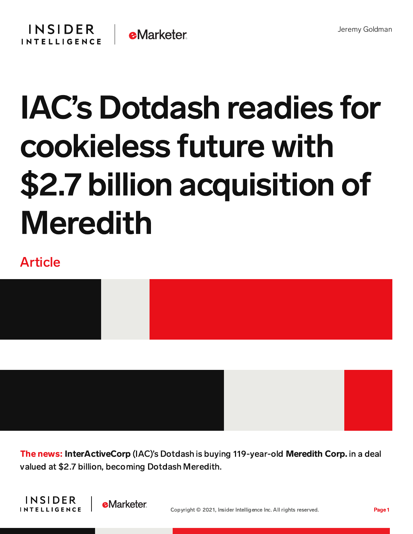

## IAC's Dotdash readies for cookieless future with \$2.7 billion acquisition of Meredith

## Article



The news: InterActiveCorp (IAC)'s Dotdash is buying 119-year-old Meredith Corp. in a deal valued at \$2.7 billion, becoming Dotdash Meredith.



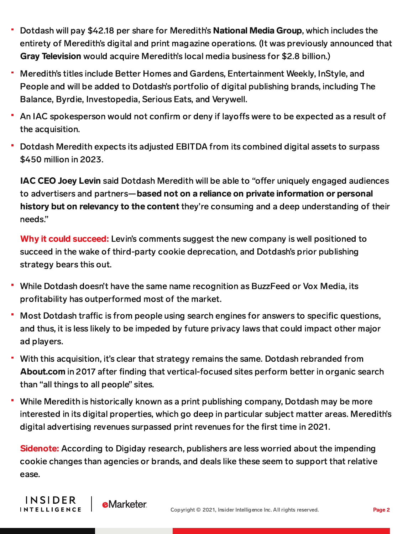- Dotdash will pay \$42.18 per share for Meredith's National Media Group, which includes the entirety of Meredith's digital and print magazine operations. (It was previously announced that Gray Television would acquire Meredith's local media business for \$2.8 billion.)
- Meredith's titles include Better Homes and Gardens, Entertainment Weekly, InStyle, and People and will be added to Dotdash's portfolio of digital publishing brands, including The Balance, Byrdie, Investopedia, Serious Eats, and Verywell.
- An IAC spokesperson would not confirm or deny if layoffs were to be expected as a result of the acquisition.
- Dotdash Meredith expects its adjusted EBITDA from its combined digital assets to surpass \$450 million in 2023.

IAC CEO Joey Levin said Dotdash Meredith will be able to "offer uniquely engaged audiences to advertisers and partners—based not on a reliance on private information or personal history but on relevancy to the content they're consuming and a deep understanding of their needs."

Why it could succeed: Levin's comments suggest the new company is well positioned to succeed in the wake of third-party cookie deprecation, and Dotdash's prior publishing strategy bears this out.

- ۳ While Dotdash doesn't have the same name recognition as BuzzFeed or Vox Media, its profitability has outperformed most of the market.
- Most Dotdash traffic is from people using search engines for answers to specific questions, and thus, it is less likely to be impeded by future privacy laws that could impact other major ad players.
- With this acquisition, it's clear that strategy remains the same. Dotdash rebranded from About.com in 2017 after finding that vertical-focused sites perform better in organic search than "all things to all people" sites.
- While Meredith is historically known as a print publishing company, Dotdash may be more interested in its digital properties, which go deep in particular subject matter areas. Meredith's digital advertising revenues surpassed print revenues for the first time in 2021.

**Sidenote:** According to Digiday research, publishers are less worried about the impending cookie changes than agencies or brands, and deals like these seem to support that relative ease.

**INSIDER** 

**INTELLIGENCE** 

**e**Marketer